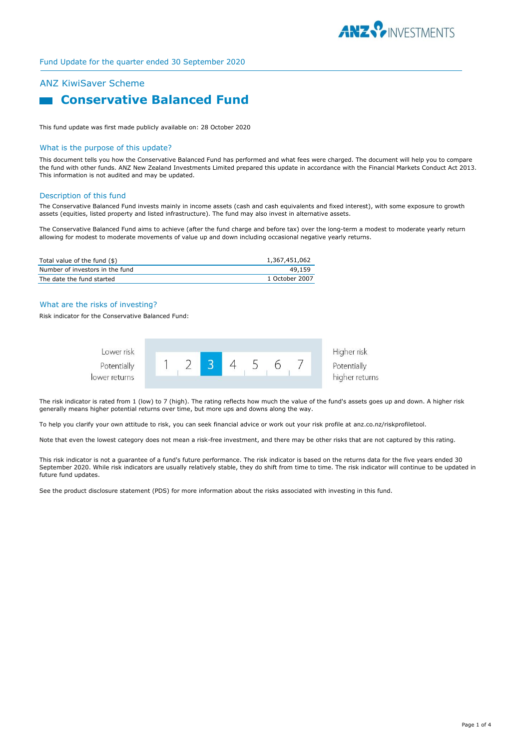

# ANZ KiwiSaver Scheme

# **Conservative Balanced Fund**

This fund update was first made publicly available on: 28 October 2020

#### What is the purpose of this update?

This document tells you how the Conservative Balanced Fund has performed and what fees were charged. The document will help you to compare the fund with other funds. ANZ New Zealand Investments Limited prepared this update in accordance with the Financial Markets Conduct Act 2013. This information is not audited and may be updated.

#### Description of this fund

The Conservative Balanced Fund invests mainly in income assets (cash and cash equivalents and fixed interest), with some exposure to growth assets (equities, listed property and listed infrastructure). The fund may also invest in alternative assets.

The Conservative Balanced Fund aims to achieve (after the fund charge and before tax) over the long-term a modest to moderate yearly return allowing for modest to moderate movements of value up and down including occasional negative yearly returns.

| Total value of the fund (\$)    | 1,367,451,062  |
|---------------------------------|----------------|
| Number of investors in the fund | 49,159         |
| The date the fund started       | 1 October 2007 |

### What are the risks of investing?

Risk indicator for the Conservative Balanced Fund:



The risk indicator is rated from 1 (low) to 7 (high). The rating reflects how much the value of the fund's assets goes up and down. A higher risk generally means higher potential returns over time, but more ups and downs along the way.

To help you clarify your own attitude to risk, you can seek financial advice or work out your risk profile at anz.co.nz/riskprofiletool.

Note that even the lowest category does not mean a risk-free investment, and there may be other risks that are not captured by this rating.

This risk indicator is not a guarantee of a fund's future performance. The risk indicator is based on the returns data for the five years ended 30 September 2020. While risk indicators are usually relatively stable, they do shift from time to time. The risk indicator will continue to be updated in future fund updates.

See the product disclosure statement (PDS) for more information about the risks associated with investing in this fund.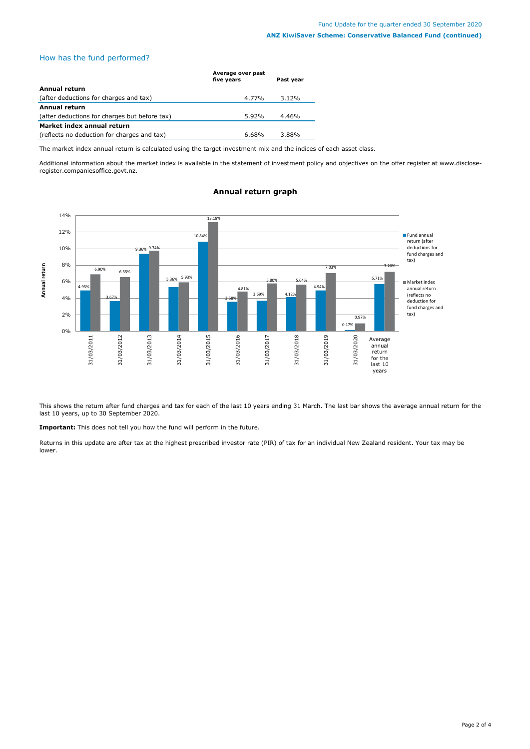## How has the fund performed?

|                                               | Average over past<br>five years | Past year |
|-----------------------------------------------|---------------------------------|-----------|
| Annual return                                 |                                 |           |
| (after deductions for charges and tax)        | 4.77%                           | $3.12\%$  |
| <b>Annual return</b>                          |                                 |           |
| (after deductions for charges but before tax) | 5.92%                           | 4.46%     |
| Market index annual return                    |                                 |           |
| (reflects no deduction for charges and tax)   | $6.68\%$                        | 3.88%     |

The market index annual return is calculated using the target investment mix and the indices of each asset class.

Additional information about the market index is available in the statement of investment policy and objectives on the offer register at www.discloseregister.companiesoffice.govt.nz.



## **Annual return graph**

This shows the return after fund charges and tax for each of the last 10 years ending 31 March. The last bar shows the average annual return for the last 10 years, up to 30 September 2020.

**Important:** This does not tell you how the fund will perform in the future.

Returns in this update are after tax at the highest prescribed investor rate (PIR) of tax for an individual New Zealand resident. Your tax may be lower.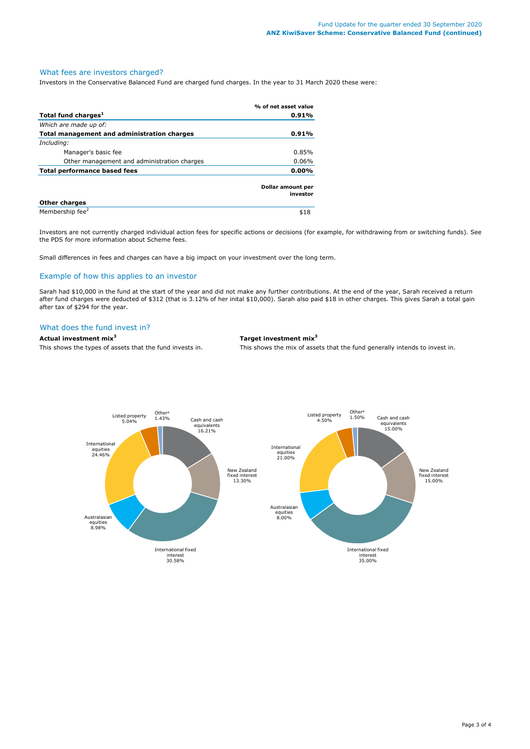## What fees are investors charged?

Investors in the Conservative Balanced Fund are charged fund charges. In the year to 31 March 2020 these were:

|                                                    | % of net asset value          |
|----------------------------------------------------|-------------------------------|
| Total fund charges <sup>1</sup>                    | $0.91\%$                      |
| Which are made up of:                              |                               |
| <b>Total management and administration charges</b> | $0.91\%$                      |
| Including:                                         |                               |
| Manager's basic fee                                | 0.85%                         |
| Other management and administration charges        | $0.06\%$                      |
| <b>Total performance based fees</b>                | $0.00\%$                      |
|                                                    | Dollar amount per<br>investor |
| <b>Other charges</b>                               |                               |
| Membership fee <sup>2</sup>                        | \$18                          |

Investors are not currently charged individual action fees for specific actions or decisions (for example, for withdrawing from or switching funds). See the PDS for more information about Scheme fees.

Small differences in fees and charges can have a big impact on your investment over the long term.

## Example of how this applies to an investor

Sarah had \$10,000 in the fund at the start of the year and did not make any further contributions. At the end of the year, Sarah received a return after fund charges were deducted of \$312 (that is 3.12% of her inital \$10,000). Sarah also paid \$18 in other charges. This gives Sarah a total gain after tax of \$294 for the year.

## What does the fund invest in?

# **Actual investment mix<sup>3</sup> Target investment mix<sup>3</sup>**

This shows the types of assets that the fund invests in. This shows the mix of assets that the fund generally intends to invest in.